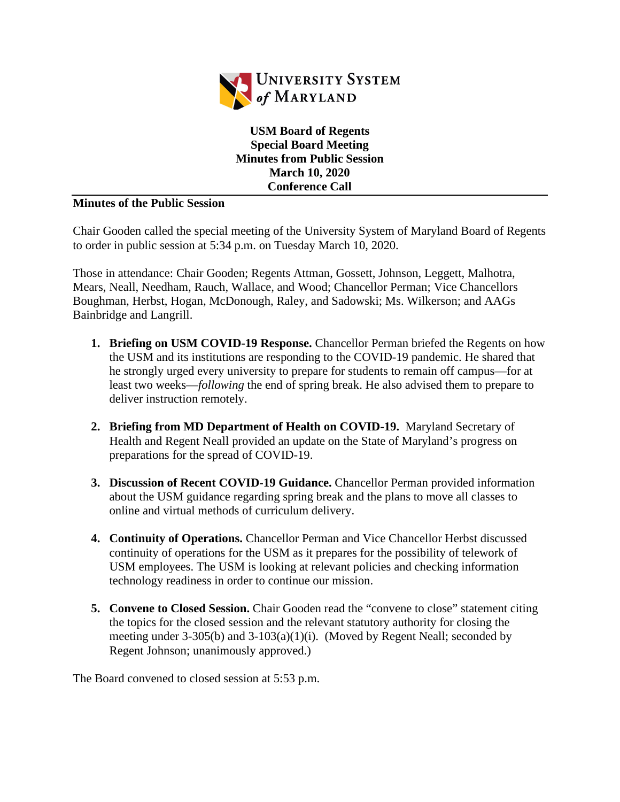

**USM Board of Regents Special Board Meeting Minutes from Public Session March 10, 2020 Conference Call**

## **Minutes of the Public Session**

Chair Gooden called the special meeting of the University System of Maryland Board of Regents to order in public session at 5:34 p.m. on Tuesday March 10, 2020.

Those in attendance: Chair Gooden; Regents Attman, Gossett, Johnson, Leggett, Malhotra, Mears, Neall, Needham, Rauch, Wallace, and Wood; Chancellor Perman; Vice Chancellors Boughman, Herbst, Hogan, McDonough, Raley, and Sadowski; Ms. Wilkerson; and AAGs Bainbridge and Langrill.

- **1. Briefing on USM COVID-19 Response.** Chancellor Perman briefed the Regents on how the USM and its institutions are responding to the COVID-19 pandemic. He shared that he strongly urged every university to prepare for students to remain off campus—for at least two weeks—*following* the end of spring break. He also advised them to prepare to deliver instruction remotely.
- **2. Briefing from MD Department of Health on COVID-19.** Maryland Secretary of Health and Regent Neall provided an update on the State of Maryland's progress on preparations for the spread of COVID-19.
- **3. Discussion of Recent COVID-19 Guidance.** Chancellor Perman provided information about the USM guidance regarding spring break and the plans to move all classes to online and virtual methods of curriculum delivery.
- **4. Continuity of Operations.** Chancellor Perman and Vice Chancellor Herbst discussed continuity of operations for the USM as it prepares for the possibility of telework of USM employees. The USM is looking at relevant policies and checking information technology readiness in order to continue our mission.
- **5. Convene to Closed Session.** Chair Gooden read the "convene to close" statement citing the topics for the closed session and the relevant statutory authority for closing the meeting under 3-305(b) and 3-103(a)(1)(i). (Moved by Regent Neall; seconded by Regent Johnson; unanimously approved.)

The Board convened to closed session at 5:53 p.m.